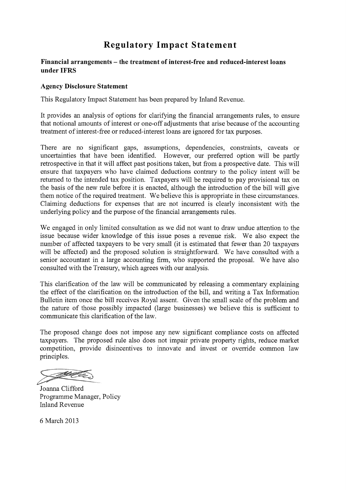# Regulatory Impact Statement

#### Financial arrangements — the treatment of interest-free and reduced-interest loans under IFRS

#### Agency Disclosure Statement

This Regulatory Impact Statement has been prepared by Inland Revenue.

It provides an analysis of options for clarifying the financial arrangements rules, to ensure that notional amounts of interest or one-off adjustments that arise because of the accounting treatment of interest-free or reduced-interest loans are ignored for tax purposes.

There are no significant gaps, assumptions, dependencies, constraints, caveats or uncertainties that have been identified. However, our preferred option will be partly retrospective in that it will affect past positions taken, but from a prospective date. This will ensure that taxpayers who have claimed deductions contrary to the policy intent will be returned to the intended tax position. Taxpayers will be required to pay provisional tax on the basis of the new rule before it is enacted, although the introduction of the bill will give them notice of the required treatment. We believe this is appropriate in these circumstances. Claiming deductions for expenses that are not incurred is clearly inconsistent with the underlying policy and the purpose of the financial arrangements rules.

We engaged in only limited consultation as we did not want to draw undue attention to the issue because wider knowledge of this issue poses a revenue risk. We also expect the number of affected taxpayers to be very small (it is estimated that fewer than 20 taxpayers will be affected) and the proposed solution is straightforward. We have consulted with a senior accountant in a large accounting firm, who supported the proposal. We have also consulted with the Treasury, which agrees with our analysis.

This clarification of the law will be communicated by releasing a commentary explaining the effect of the clarification on the introduction of the bill, and writing a Tax Information Bulletin item once the bill receives Royal assent. Given the small scale of the problem and the nature of those possibly impacted (large businesses) we believe this is sufficient to communicate this clarification of the law.

The proposed change does not impose any new significant compliance costs on affected taxpayers. The proposed rule also does not impair private property rights, reduce market competition, provide disincentives to innovate and invest or override common law principles.

Their

Joanna Clifford Programme Manager, Policy Inland Revenue

6 March 2013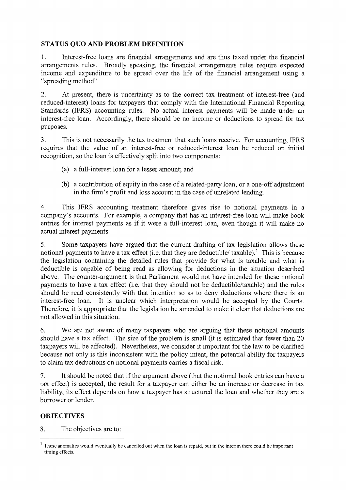## STATUS QUO AND PROBLEM DEFINITION

1. Interest-free loans are financial arrangements and are thus taxed under the financial arrangements rules. Broadly speaking, the financial arrangements rules require expected income and expenditure to be spread over the life of the financial arrangement using a "spreading method".

2. At present, there is uncertainty as to the correct tax treatment of interest-free (and reduced-interest) loans for taxpayers that comply with the International Financial Reporting Standards (IFRS) accounting rules. No actual interest payments will be made under an interest-free loan. Accordingly, there should be no income or deductions to spread for tax purposes.

3. This is not necessarily the tax treatment that such loans receive. For accounting, IFRS requires that the value of an interest-free or reduced-interest loan be reduced on initial recognition, so the loan is effectively split into two components:

- (a) a full-interest loan for a lesser amount; and
- (b) a contribution of equity in the case of a related-party loan, or a one-off adjustment in the firm's profit and loss account in the case of unrelated lending.

4. This IFRS accounting treatment therefore gives rise to notional payments in a company's accounts. For example, a company that has an interest-free loan will make book entries for interest payments as if it were a full-interest loan, even though it will make no actual interest payments.

5. Some taxpayers have argued that the current drafting of tax legislation allows these notional payments to have a tax effect (i.e. that they are deductible/ taxable).<sup>1</sup> This is because the legislation containing the detailed rules that provide for what is taxable and what is deductible is capable of being read as allowing for deductions in the situation described above. The counter-argument is that Parliament would not have intended for these notional payments to have a tax effect (i.e. that they should not be deductible/taxable) and the rules should be read consistently with that intention so as to deny deductions where there is an interest-free loan. It is unclear which interpretation would be accepted by the Courts. Therefore, it is appropriate that the legislation be amended to make it clear that deductions are not allowed in this situation.

6. We are not aware of many taxpayers who are arguing that these notional amounts should have a tax effect. The size of the problem is small (it is estimated that fewer than 20 taxpayers will be affected). Nevertheless, we consider it important for the law to be clarified because not only is this inconsistent with the policy intent, the potential ability for taxpayers to claim tax deductions on notional payments carries a fiscal risk.

7. It should be noted that if the argument above (that the notional book entries can have a tax effect) is accepted, the result for a taxpayer can either be an increase or decrease in tax liability; its effect depends on how a taxpayer has structured the loan and whether they are a borrower or lender.

### **OBJECTIVES**

8. The objectives are to:

 $<sup>1</sup>$  These anomalies would eventually be cancelled out when the loan is repaid, but in the interim there could be important</sup> timing effects.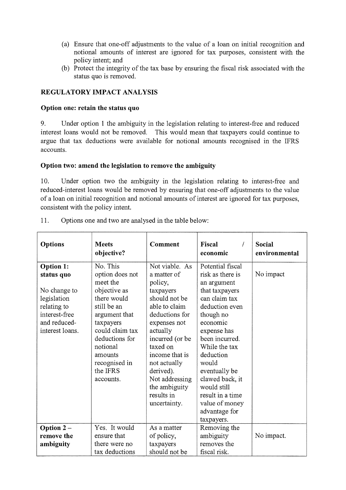- (a) Ensure that one-off adjustments to the value of a loan on initial recognition and notional amounts of interest are ignored for tax purposes, consistent with the policy intent; and
- (b) Protect the integrity of the tax base by ensuring the fiscal risk associated with the status quo is removed.

## **REGULATORY IMPACT ANALYSIS**

#### **Option one: retain the status quo**

9. Under option 1 the ambiguity in the legislation relating to interest-free and reduced interest loans would not be removed. This would mean that taxpayers could continue to argue that tax deductions were available for notional amounts recognised in the IFRS accounts.

### **Option two: amend the legislation to remove the ambiguity**

10. Under option two the ambiguity in the legislation relating to interest-free and reduced-interest loans would be removed by ensuring that one-off adjustments to the value of a loan on initial recognition and notional amounts of interest are ignored for tax purposes, consistent with the policy intent.

| <b>Options</b>                                                                                                                   | <b>Meets</b><br>objective?                                                                                                                                                                                                | <b>Comment</b>                                                                                                                                                                                                                                                                       | Fiscal<br>economic                                                                                                                                                                                                                                                                                                                | Social<br>environmental |
|----------------------------------------------------------------------------------------------------------------------------------|---------------------------------------------------------------------------------------------------------------------------------------------------------------------------------------------------------------------------|--------------------------------------------------------------------------------------------------------------------------------------------------------------------------------------------------------------------------------------------------------------------------------------|-----------------------------------------------------------------------------------------------------------------------------------------------------------------------------------------------------------------------------------------------------------------------------------------------------------------------------------|-------------------------|
| <b>Option 1:</b><br>status quo<br>No change to<br>legislation<br>relating to<br>interest-free<br>and reduced-<br>interest loans. | No. This<br>option does not<br>meet the<br>objective as<br>there would<br>still be an<br>argument that<br>taxpayers<br>could claim tax<br>deductions for<br>notional<br>amounts<br>recognised in<br>the IFRS<br>accounts. | Not viable. As<br>a matter of<br>policy,<br>taxpayers<br>should not be<br>able to claim<br>deductions for<br>expenses not<br>actually<br>incurred (or be<br>taxed on<br>income that is<br>not actually<br>derived).<br>Not addressing<br>the ambiguity<br>results in<br>uncertainty. | Potential fiscal<br>risk as there is<br>an argument<br>that taxpayers<br>can claim tax<br>deduction even<br>though no<br>economic<br>expense has<br>been incurred.<br>While the tax<br>deduction<br>would<br>eventually be<br>clawed back, it<br>would still<br>result in a time<br>value of money<br>advantage for<br>taxpayers. | No impact               |
| Option 2-                                                                                                                        | Yes. It would                                                                                                                                                                                                             | As a matter                                                                                                                                                                                                                                                                          | Removing the                                                                                                                                                                                                                                                                                                                      |                         |
| remove the                                                                                                                       | ensure that                                                                                                                                                                                                               | of policy,                                                                                                                                                                                                                                                                           | ambiguity                                                                                                                                                                                                                                                                                                                         | No impact.              |
| ambiguity                                                                                                                        | there were no                                                                                                                                                                                                             | taxpayers                                                                                                                                                                                                                                                                            | removes the                                                                                                                                                                                                                                                                                                                       |                         |
|                                                                                                                                  | tax deductions                                                                                                                                                                                                            | should not be                                                                                                                                                                                                                                                                        | fiscal risk.                                                                                                                                                                                                                                                                                                                      |                         |

11. Options one and two are analysed in the table below: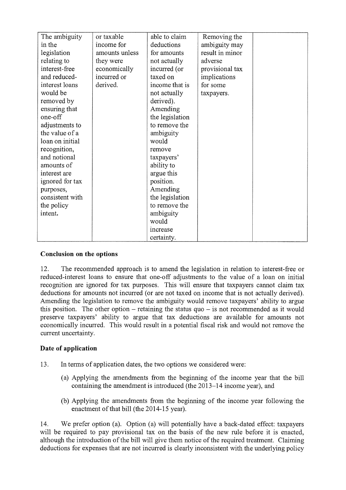| The ambiguity   | or taxable     | able to claim   | Removing the    |  |
|-----------------|----------------|-----------------|-----------------|--|
| in the          | income for     | deductions      | ambiguity may   |  |
| legislation     | amounts unless | for amounts     | result in minor |  |
| relating to     | they were      | not actually    | adverse         |  |
| interest-free   | economically   | incurred (or    | provisional tax |  |
| and reduced-    | incurred or    | taxed on        | implications    |  |
| interest loans  | derived.       | income that is  | for some        |  |
| would be        |                | not actually    | taxpayers.      |  |
| removed by      |                | derived).       |                 |  |
| ensuring that   |                | Amending        |                 |  |
| one-off         |                | the legislation |                 |  |
| adjustments to  |                | to remove the   |                 |  |
| the value of a  |                | ambiguity       |                 |  |
| loan on initial |                | would           |                 |  |
| recognition,    |                | remove          |                 |  |
| and notional    |                | taxpayers'      |                 |  |
| amounts of      |                | ability to      |                 |  |
| interest are    |                | argue this      |                 |  |
| ignored for tax |                | position.       |                 |  |
| purposes,       |                | Amending        |                 |  |
| consistent with |                | the legislation |                 |  |
| the policy      |                | to remove the   |                 |  |
| intent.         |                | ambiguity       |                 |  |
|                 |                | would           |                 |  |
|                 |                | increase        |                 |  |
|                 |                | certainty.      |                 |  |

### **Conclusion on the options**

12. The recommended approach is to amend the legislation in relation to interest-free or reduced-interest loans to ensure that one-off adjustments to the value of a loan on initial recognition are ignored for tax purposes. This will ensure that taxpayers cannot claim tax deductions for amounts not incurred (or are not taxed on income that is not actually derived). Amending the legislation to remove the ambiguity would remove taxpayers' ability to argue this position. The other option — retaining the status quo — is not recommended as it would preserve taxpayers' ability to argue that tax deductions are available for amounts not economically incurred. This would result in a potential fiscal risk and would not remove the current uncertainty.

# **Date of application**

- 13. In terms of application dates, the two options we considered were:
	- (a) Applying the amendments from the beginning of the income year that the bill containing the amendment is introduced (the 2013-14 income year), and
	- (b) Applying the amendments from the beginning of the income year following the enactment of that bill (the 2014-15 year).

14. We prefer option (a). Option (a) will potentially have a back-dated effect: taxpayers will be required to pay provisional tax on the basis of the new rule before it is enacted, although the introduction of the bill will give them notice of the required treatment. Claiming deductions for expenses that are not incurred is clearly inconsistent with the underlying policy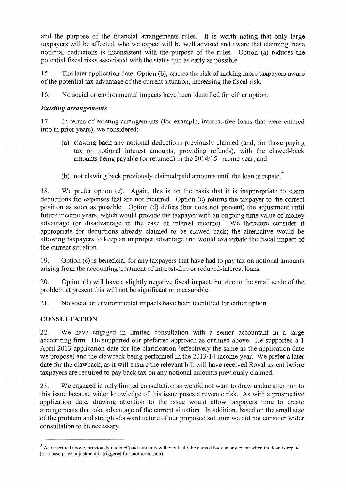and the purpose of the financial arrangements rules. It is worth noting that only large taxpayers will be affected, who we expect will be well advised and aware that claiming these notional deductions is inconsistent with the purpose of the rules. Option (a) reduces the potential fiscal risks associated with the status quo as early as possible.

15. The later application date, Option (b), carries the risk of making more taxpayers aware of the potential tax advantage of the current situation, increasing the fiscal risk.

16. No social or environmental impacts have been identified for either option.

## *Existing arrangements*

17. In terms of existing arrangements (for example, interest-free loans that were entered into in prior years), we considered:

- (a) clawing back any notional deductions previously claimed (and, for those paying tax on notional interest amounts, providing refunds), with the clawed-back amounts being payable (or returned) in the 2014/15 income year; and
- (b) not clawing back previously claimed/paid amounts until the loan is repaid.<sup>2</sup>

18. We prefer option (c). Again, this is on the basis that it is inappropriate to claim deductions for expenses that are not incurred. Option (c) returns the taxpayer to the correct position as soon as possible. Option (d) defers (but does not prevent) the adjustment until future income years, which would provide the taxpayer with an ongoing time value of money advantage (or disadvantage in the case of interest income). We therefore consider it appropriate for deductions already claimed to be clawed back; the alternative would be allowing taxpayers to keep an improper advantage and would exacerbate the fiscal impact of the current situation.

19. Option (c) is beneficial for any taxpayers that have had to pay tax on notional amounts arising from the accounting treatment of interest-free or reduced-interest loans.

20. Option (d) will have a slightly negative fiscal impact, but due to the small scale of the problem at present this will not be significant or measurable.

21. No social or environmental impacts have been identified for either option.

# **CONSULTATION**

22. We have engaged in limited consultation with a senior accountant in a large accounting firm. He supported our preferred approach as outlined above. He supported a 1 April 2013 application date for the clarification (effectively the same as the application date we propose) and the clawback being performed in the 2013/14 income year. We prefer a later date for the clawback, as it will ensure the relevant bill will have received Royal assent before taxpayers are required to pay back tax on any notional amounts previously claimed.

23. We engaged in only limited consultation as we did not want to draw undue attention to this issue because wider knowledge of this issue poses a revenue risk. As with a prospective application date, drawing attention to the issue would allow taxpayers time to create arrangements that take advantage of the current situation. In addition, based on the small size of the problem and straight-forward nature of our proposed solution we did not consider wider consultation to be necessary.

 $2$  As described above, previously claimed/paid amounts will eventually be clawed back in any event when the loan is repaid (or a base price adjustment is triggered for another reason).